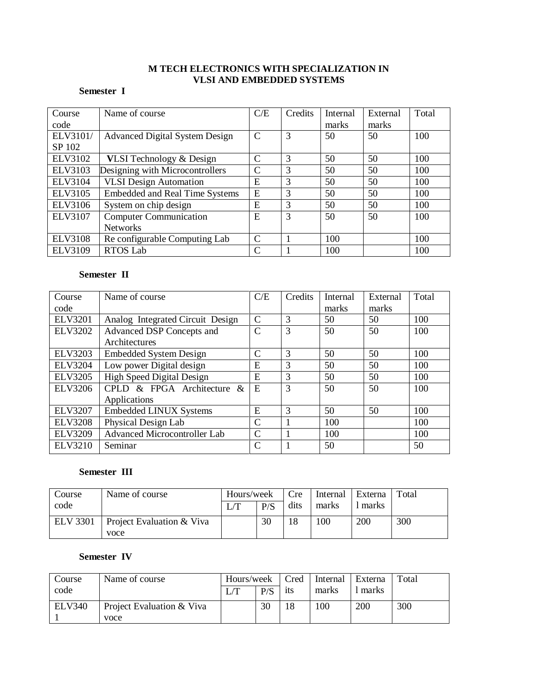# **M TECH ELECTRONICS WITH SPECIALIZATION IN VLSI AND EMBEDDED SYSTEMS**

# **Semester I**

| Course         | Name of course                        | C/E           | Credits | <b>Internal</b> | External | Total |
|----------------|---------------------------------------|---------------|---------|-----------------|----------|-------|
| code           |                                       |               |         | marks           | marks    |       |
| ELV3101/       | <b>Advanced Digital System Design</b> | $\mathcal{C}$ | 3       | 50              | 50       | 100   |
| SP 102         |                                       |               |         |                 |          |       |
| ELV3102        | <b>VLSI</b> Technology & Design       | $\mathcal{C}$ | 3       | 50              | 50       | 100   |
| ELV3103        | Designing with Microcontrollers       | C             | 3       | 50              | 50       | 100   |
| <b>ELV3104</b> | <b>VLSI Design Automation</b>         | E             | 3       | 50              | 50       | 100   |
| ELV3105        | <b>Embedded and Real Time Systems</b> | E             | 3       | 50              | 50       | 100   |
| <b>ELV3106</b> | System on chip design                 | E             | 3       | 50              | 50       | 100   |
| ELV3107        | <b>Computer Communication</b>         | E             | 3       | 50              | 50       | 100   |
|                | <b>Networks</b>                       |               |         |                 |          |       |
| <b>ELV3108</b> | Re configurable Computing Lab         | $\mathcal{C}$ |         | 100             |          | 100   |
| <b>ELV3109</b> | <b>RTOS</b> Lab                       | $\mathsf{C}$  |         | 100             |          | 100   |

# **Semester II**

| Course         | Name of course                      | C/E           | Credits       | Internal | External | Total |
|----------------|-------------------------------------|---------------|---------------|----------|----------|-------|
| code           |                                     |               |               | marks    | marks    |       |
| <b>ELV3201</b> | Analog Integrated Circuit Design    | $\mathcal{C}$ | 3             | 50       | 50       | 100   |
| <b>ELV3202</b> | Advanced DSP Concepts and           |               | 3             | 50       | 50       | 100   |
|                | Architectures                       |               |               |          |          |       |
| <b>ELV3203</b> | <b>Embedded System Design</b>       | $\mathcal{C}$ | 3             | 50       | 50       | 100   |
| <b>ELV3204</b> | Low power Digital design            | E             | 3             | 50       | 50       | 100   |
| <b>ELV3205</b> | <b>High Speed Digital Design</b>    | E             | 3             | 50       | 50       | 100   |
| <b>ELV3206</b> | CPLD & FPGA Architecture &          | E             | $\mathcal{R}$ | 50       | 50       | 100   |
|                | Applications                        |               |               |          |          |       |
| <b>ELV3207</b> | <b>Embedded LINUX Systems</b>       | E             | 3             | 50       | 50       | 100   |
| <b>ELV3208</b> | Physical Design Lab                 |               |               | 100      |          | 100   |
| <b>ELV3209</b> | <b>Advanced Microcontroller Lab</b> | $\mathcal{C}$ |               | 100      |          | 100   |
| <b>ELV3210</b> | Seminar                             | C             |               | 50       |          | 50    |

# **Semester III**

| Course          | Name of course                               | Hours/week |     | Cre<br>Internal |       | Externa | Total |
|-----------------|----------------------------------------------|------------|-----|-----------------|-------|---------|-------|
| code            |                                              | L/T        | P/S | dits            | marks | marks   |       |
| <b>ELV 3301</b> | <b>Project Evaluation &amp; Viva</b><br>voce |            | 30  | 18              | 100   | 200     | 300   |

# **Semester IV**

| Course        | Name of course                    | Hours/week |     | Cred | Internal | Externa | Total |
|---------------|-----------------------------------|------------|-----|------|----------|---------|-------|
| code          |                                   |            | P/S | its  | marks    | marks   |       |
| <b>ELV340</b> | Project Evaluation & Viva<br>voce |            | 30  | 18   | 100      | 200     | 300   |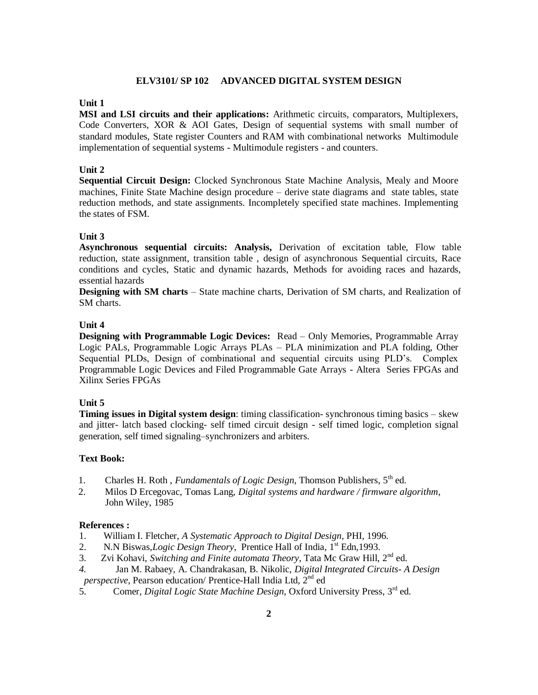#### **ELV3101/ SP 102 ADVANCED DIGITAL SYSTEM DESIGN**

#### **Unit 1**

**MSI and LSI circuits and their applications:** Arithmetic circuits, comparators, Multiplexers, Code Converters, XOR & AOI Gates, Design of sequential systems with small number of standard modules, State register Counters and RAM with combinational networks Multimodule implementation of sequential systems - Multimodule registers - and counters.

#### **Unit 2**

**Sequential Circuit Design:** Clocked Synchronous State Machine Analysis, Mealy and Moore machines, Finite State Machine design procedure – derive state diagrams and state tables, state reduction methods, and state assignments. Incompletely specified state machines. Implementing the states of FSM.

# **Unit 3**

**Asynchronous sequential circuits: Analysis,** Derivation of excitation table, Flow table reduction, state assignment, transition table , design of asynchronous Sequential circuits, Race conditions and cycles, Static and dynamic hazards, Methods for avoiding races and hazards, essential hazards

**Designing with SM charts** – State machine charts, Derivation of SM charts, and Realization of SM charts.

#### **Unit 4**

**Designing with Programmable Logic Devices:** Read – Only Memories, Programmable Array Logic PALs, Programmable Logic Arrays PLAs – PLA minimization and PLA folding, Other Sequential PLDs, Design of combinational and sequential circuits using PLD's. Complex Programmable Logic Devices and Filed Programmable Gate Arrays - Altera Series FPGAs and Xilinx Series FPGAs

# **Unit 5**

**Timing issues in Digital system design**: timing classification- synchronous timing basics – skew and jitter- latch based clocking- self timed circuit design - self timed logic, completion signal generation, self timed signaling–synchronizers and arbiters.

#### **Text Book:**

- 1. Charles H. Roth, *Fundamentals of Logic Design*, Thomson Publishers, 5<sup>th</sup> ed.
- 2. Milos D Ercegovac, Tomas Lang, *Digital systems and hardware / firmware algorithm*, John Wiley, 1985

#### **References :**

- 1. William I. Fletcher, *A Systematic Approach to Digital Design,* PHI, 1996.
- 2. N.N Biswas,*Logic Design Theory*, Prentice Hall of India, 1<sup>st</sup> Edn, 1993.
- 3. Zvi Kohavi, *Switching and Finite automata Theory*, Tata Mc Graw Hill, 2nd ed.
- *4.* Jan M. Rabaey, A. Chandrakasan, B. Nikolic, *Digital Integrated Circuits- A Design perspective*, Pearson education/ Prentice-Hall India Ltd, 2nd ed
- 5. Comer, *Digital Logic State Machine Design*, Oxford University Press, 3<sup>rd</sup> ed.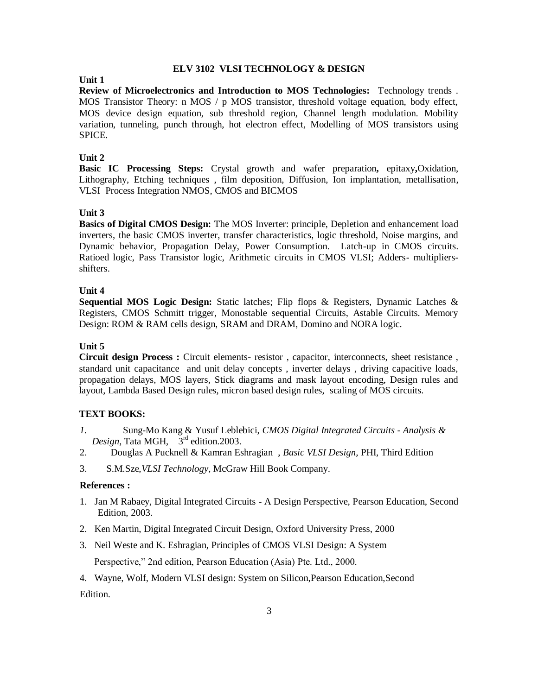### **ELV 3102 VLSI TECHNOLOGY & DESIGN**

#### **Unit 1**

**Review of Microelectronics and Introduction to MOS Technologies:** Technology trends . MOS Transistor Theory: n MOS  $/ p$  MOS transistor, threshold voltage equation, body effect, MOS device design equation, sub threshold region, Channel length modulation. Mobility variation, tunneling, punch through, hot electron effect, Modelling of MOS transistors using SPICE.

### **Unit 2**

**Basic IC Processing Steps:** Crystal growth and wafer preparation**,** epitaxy**,**Oxidation, Lithography, Etching techniques , film deposition, Diffusion, Ion implantation, metallisation, VLSI Process Integration NMOS, CMOS and BICMOS

### **Unit 3**

**Basics of Digital CMOS Design:** The MOS Inverter: principle, Depletion and enhancement load inverters, the basic CMOS inverter, transfer characteristics, logic threshold, Noise margins, and Dynamic behavior, Propagation Delay, Power Consumption. Latch-up in CMOS circuits. Ratioed logic, Pass Transistor logic, Arithmetic circuits in CMOS VLSI; Adders- multipliersshifters.

### **Unit 4**

**Sequential MOS Logic Design:** Static latches; Flip flops & Registers, Dynamic Latches & Registers, CMOS Schmitt trigger, Monostable sequential Circuits, Astable Circuits. Memory Design: ROM & RAM cells design, SRAM and DRAM, Domino and NORA logic.

# **Unit 5**

**Circuit design Process :** Circuit elements- resistor , capacitor, interconnects, sheet resistance , standard unit capacitance and unit delay concepts , inverter delays , driving capacitive loads, propagation delays, MOS layers, Stick diagrams and mask layout encoding, Design rules and layout, Lambda Based Design rules, micron based design rules, scaling of MOS circuits.

#### **TEXT BOOKS:**

- *1.* Sung-Mo Kang & Yusuf Leblebici, *CMOS Digital Integrated Circuits - Analysis & Design*, Tata MGH,  $3<sup>rd</sup>$  edition. 2003.
- 2. Douglas A Pucknell & Kamran Eshragian , *Basic VLSI Design,* PHI, Third Edition
- 3. S.M.Sze,*VLSI Technology*, McGraw Hill Book Company.

#### **References :**

- 1. Jan M Rabaey, Digital Integrated Circuits A Design Perspective, Pearson Education, Second Edition, 2003.
- 2. Ken Martin, Digital Integrated Circuit Design, Oxford University Press, 2000
- 3. Neil Weste and K. Eshragian, Principles of CMOS VLSI Design: A System Perspective," 2nd edition, Pearson Education (Asia) Pte. Ltd., 2000.
- 4. Wayne, Wolf, Modern VLSI design: System on Silicon,Pearson Education,Second Edition.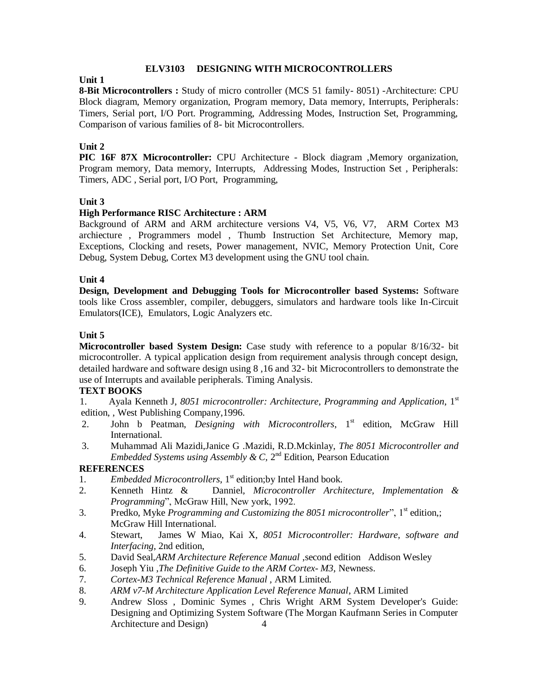### **ELV3103 DESIGNING WITH MICROCONTROLLERS**

# **Unit 1**

**8-Bit Microcontrollers :** Study of micro controller (MCS 51 family- 8051) -Architecture: CPU Block diagram, Memory organization, Program memory, Data memory, Interrupts, Peripherals: Timers, Serial port, I/O Port. Programming, Addressing Modes, Instruction Set, Programming, Comparison of various families of 8- bit Microcontrollers.

# **Unit 2**

**PIC 16F 87X Microcontroller:** CPU Architecture - Block diagram ,Memory organization, Program memory, Data memory, Interrupts, Addressing Modes, Instruction Set , Peripherals: Timers, ADC , Serial port, I/O Port, Programming,

# **Unit 3**

# **High Performance RISC Architecture : ARM**

Background of ARM and ARM architecture versions V4, V5, V6, V7, ARM Cortex M3 archiecture , Programmers model , Thumb Instruction Set Architecture, Memory map, Exceptions, Clocking and resets, Power management, NVIC, Memory Protection Unit, Core Debug, System Debug, Cortex M3 development using the GNU tool chain.

# **Unit 4**

**Design, Development and Debugging Tools for Microcontroller based Systems:** Software tools like Cross assembler, compiler, debuggers, simulators and hardware tools like In-Circuit Emulators(ICE), Emulators, Logic Analyzers etc.

# **Unit 5**

**Microcontroller based System Design:** Case study with reference to a popular 8/16/32- bit microcontroller. A typical application design from requirement analysis through concept design, detailed hardware and software design using 8 ,16 and 32- bit Microcontrollers to demonstrate the use of Interrupts and available peripherals. Timing Analysis.

# **TEXT BOOKS**

1. Ayala Kenneth J, *8051 microcontroller: Architecture, Programming and Application*, 1st edition, , West Publishing Company,1996.

- 2. John b Peatman, *Designing with Microcontrollers*, 1<sup>st</sup> edition, McGraw Hill International.
- 3. Muhammad Ali Mazidi,Janice G .Mazidi, R.D.Mckinlay, *The 8051 Microcontroller and Embedded Systems using Assembly & C,*  $2<sup>nd</sup>$  Edition, Pearson Education

- 1. *Embedded Microcontrollers*, 1<sup>st</sup> edition; by Intel Hand book.
- 2. Kenneth Hintz & Danniel*, Microcontroller Architecture, Implementation & Programming*", McGraw Hill, New york, 1992.
- 3. Predko, Myke *Programming and Customizing the 8051 microcontroller*", 1<sup>st</sup> edition,; McGraw Hill International.
- 4. Stewart, James W Miao, Kai X, *8051 Microcontroller: Hardware, software and Interfacing*, 2nd edition,
- 5. David Seal,*ARM Architecture Reference Manual* ,second edition Addison Wesley
- 6. Joseph Yiu ,*The Definitive Guide to the ARM Cortex- M3*, Newness.
- 7. *Cortex-M3 Technical Reference Manual ,* ARM Limited.
- 8. *ARM v7-M Architecture Application Level Reference Manual*, ARM Limited
- 9. Andrew Sloss , Dominic Symes , Chris Wright ARM System Developer's Guide: Designing and Optimizing System Software (The Morgan Kaufmann Series in Computer Architecture and Design) 4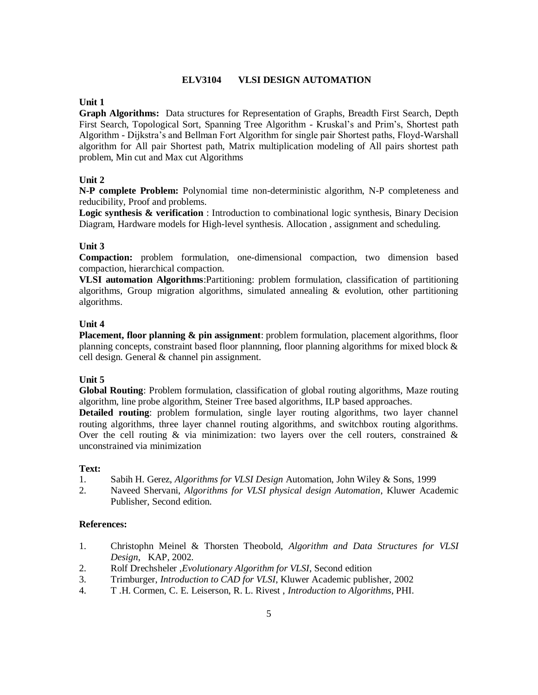### **ELV3104 VLSI DESIGN AUTOMATION**

### **Unit 1**

**Graph Algorithms:** Data structures for Representation of Graphs, Breadth First Search, Depth First Search, Topological Sort, Spanning Tree Algorithm - Kruskal's and Prim's, Shortest path Algorithm - Dijkstra's and Bellman Fort Algorithm for single pair Shortest paths, Floyd-Warshall algorithm for All pair Shortest path, Matrix multiplication modeling of All pairs shortest path problem, Min cut and Max cut Algorithms

### **Unit 2**

**N-P complete Problem:** Polynomial time non-deterministic algorithm, N-P completeness and reducibility, Proof and problems.

**Logic synthesis & verification**: Introduction to combinational logic synthesis, Binary Decision Diagram, Hardware models for High-level synthesis. Allocation , assignment and scheduling.

#### **Unit 3**

**Compaction:** problem formulation, one-dimensional compaction, two dimension based compaction, hierarchical compaction.

**VLSI automation Algorithms**:Partitioning: problem formulation, classification of partitioning algorithms, Group migration algorithms, simulated annealing  $\&$  evolution, other partitioning algorithms.

### **Unit 4**

**Placement, floor planning & pin assignment**: problem formulation, placement algorithms, floor planning concepts, constraint based floor plannning, floor planning algorithms for mixed block & cell design. General & channel pin assignment.

#### **Unit 5**

**Global Routing**: Problem formulation, classification of global routing algorithms, Maze routing algorithm, line probe algorithm, Steiner Tree based algorithms, ILP based approaches.

**Detailed routing**: problem formulation, single layer routing algorithms, two layer channel routing algorithms, three layer channel routing algorithms, and switchbox routing algorithms. Over the cell routing  $\&$  via minimization: two layers over the cell routers, constrained  $\&$ unconstrained via minimization

#### **Text:**

- 1. Sabih H. Gerez, *Algorithms for VLSI Design* Automation, John Wiley & Sons, 1999
- 2. Naveed Shervani, *Algorithms for VLSI physical design Automation*, Kluwer Academic Publisher, Second edition.

#### **References:**

- 1. Christophn Meinel & Thorsten Theobold, *Algorithm and Data Structures for VLSI Design*, KAP, 2002.
- 2. Rolf Drechsheler ,*Evolutionary Algorithm for VLSI*, Second edition
- 3. Trimburger, *Introduction to CAD for VLSI*, Kluwer Academic publisher, 2002
- 4. T .H. Cormen, C. E. Leiserson, R. L. Rivest , *Introduction to Algorithms*, PHI.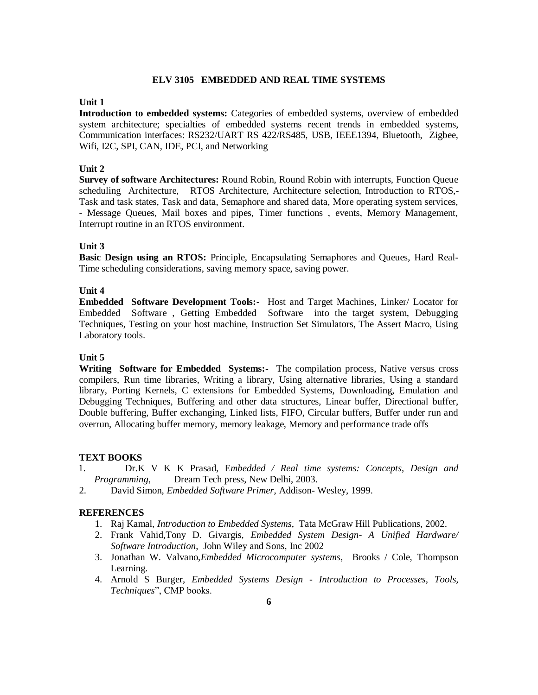### **ELV 3105 EMBEDDED AND REAL TIME SYSTEMS**

### **Unit 1**

**Introduction to embedded systems:** Categories of embedded systems, overview of embedded system architecture; specialties of embedded systems recent trends in embedded systems, Communication interfaces: RS232/UART RS 422/RS485, USB, IEEE1394, Bluetooth, Zigbee, Wifi, I2C, SPI, CAN, IDE, PCI, and Networking

### **Unit 2**

**Survey of software Architectures:** Round Robin, Round Robin with interrupts, Function Queue scheduling Architecture, RTOS Architecture, Architecture selection, Introduction to RTOS,- Task and task states, Task and data, Semaphore and shared data, More operating system services, - Message Queues, Mail boxes and pipes, Timer functions , events, Memory Management, Interrupt routine in an RTOS environment.

### **Unit 3**

**Basic Design using an RTOS:** Principle, Encapsulating Semaphores and Queues, Hard Real-Time scheduling considerations, saving memory space, saving power.

### **Unit 4**

**Embedded Software Development Tools:-** Host and Target Machines, Linker/ Locator for Embedded Software , Getting Embedded Software into the target system, Debugging Techniques, Testing on your host machine, Instruction Set Simulators, The Assert Macro, Using Laboratory tools.

### **Unit 5**

**Writing Software for Embedded Systems:-** The compilation process, Native versus cross compilers, Run time libraries, Writing a library, Using alternative libraries, Using a standard library, Porting Kernels, C extensions for Embedded Systems, Downloading, Emulation and Debugging Techniques, Buffering and other data structures, Linear buffer, Directional buffer, Double buffering, Buffer exchanging, Linked lists, FIFO, Circular buffers, Buffer under run and overrun, Allocating buffer memory, memory leakage, Memory and performance trade offs

#### **TEXT BOOKS**

- 1. Dr.K V K K Prasad, E*mbedded / Real time systems: Concepts, Design and Programming*, Dream Tech press, New Delhi, 2003.
- 2. David Simon, *Embedded Software Primer*, Addison- Wesley, 1999.

- 1. Raj Kamal, *Introduction to Embedded Systems*, Tata McGraw Hill Publications, 2002.
- 2. Frank Vahid,Tony D. Givargis, *Embedded System Design- A Unified Hardware/ Software Introduction*, John Wiley and Sons, Inc 2002
- 3. Jonathan W. Valvano,*Embedded Microcomputer systems*, Brooks / Cole, Thompson Learning.
- 4. Arnold S Burger, *Embedded Systems Design - Introduction to Processes, Tools, Techniques*", CMP books.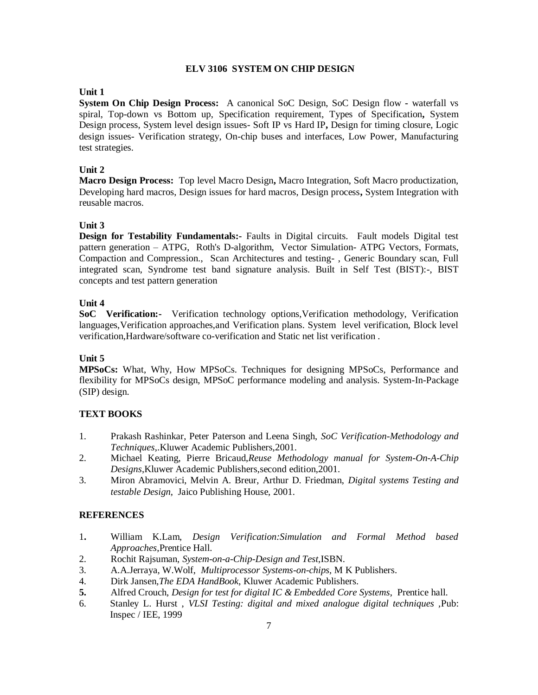### **ELV 3106 SYSTEM ON CHIP DESIGN**

### **Unit 1**

**System On Chip Design Process:** A canonical SoC Design, SoC Design flow **-** waterfall vs spiral, Top-down vs Bottom up, Specification requirement, Types of Specification**,** System Design process, System level design issues- Soft IP vs Hard IP**,** Design for timing closure, Logic design issues- Verification strategy, On-chip buses and interfaces, Low Power, Manufacturing test strategies.

# **Unit 2**

**Macro Design Process:** Top level Macro Design**,** Macro Integration, Soft Macro productization, Developing hard macros, Design issues for hard macros, Design process**,** System Integration with reusable macros.

### **Unit 3**

**Design for Testability Fundamentals:-** Faults in Digital circuits. Fault models Digital test pattern generation – ATPG, Roth's D-algorithm, Vector Simulation- ATPG Vectors, Formats, Compaction and Compression., Scan Architectures and testing- , Generic Boundary scan, Full integrated scan, Syndrome test band signature analysis. Built in Self Test (BIST):-, BIST concepts and test pattern generation

### **Unit 4**

**SoC Verification:-** Verification technology options,Verification methodology, Verification languages,Verification approaches,and Verification plans. System level verification, Block level verification,Hardware/software co-verification and Static net list verification .

#### **Unit 5**

**MPSoCs:** What, Why, How MPSoCs. Techniques for designing MPSoCs, Performance and flexibility for MPSoCs design, MPSoC performance modeling and analysis. System-In-Package (SIP) design.

# **TEXT BOOKS**

- 1. Prakash Rashinkar, Peter Paterson and Leena Singh, *SoC Verification-Methodology and Techniques*,.Kluwer Academic Publishers,2001.
- 2. Michael Keating, Pierre Bricaud,*Reuse Methodology manual for System-On-A-Chip Designs*,Kluwer Academic Publishers,second edition,2001.
- 3. Miron Abramovici, Melvin A. Breur, Arthur D. Friedman, *Digital systems Testing and testable Design*, Jaico Publishing House, 2001.

- 1**.** William K.Lam, *Design Verification:Simulation and Formal Method based Approaches*,Prentice Hall.
- 2. Rochit Rajsuman, *System-on-a-Chip-Design and Test*,ISBN.
- 3. A.A.Jerraya, W.Wolf, *Multiprocessor Systems-on-chips,* M K Publishers.
- 4. Dirk Jansen,*The EDA HandBook*, Kluwer Academic Publishers.
- **5.** Alfred Crouch, *Design for test for digital IC & Embedded Core Systems*, Prentice hall.
- 6. Stanley L. Hurst , *VLSI Testing: digital and mixed analogue digital techniques ,*Pub: Inspec / IEE, 1999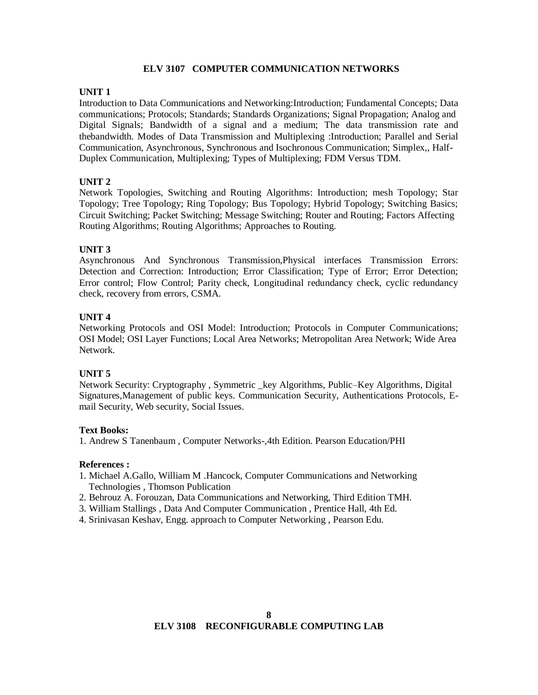### **ELV 3107 COMPUTER COMMUNICATION NETWORKS**

### **UNIT 1**

Introduction to Data Communications and Networking:Introduction; Fundamental Concepts; Data communications; Protocols; Standards; Standards Organizations; Signal Propagation; Analog and Digital Signals; Bandwidth of a signal and a medium; The data transmission rate and thebandwidth. Modes of Data Transmission and Multiplexing :Introduction; Parallel and Serial Communication, Asynchronous, Synchronous and Isochronous Communication; Simplex,, Half-Duplex Communication, Multiplexing; Types of Multiplexing; FDM Versus TDM.

# **UNIT 2**

Network Topologies, Switching and Routing Algorithms: Introduction; mesh Topology; Star Topology; Tree Topology; Ring Topology; Bus Topology; Hybrid Topology; Switching Basics; Circuit Switching; Packet Switching; Message Switching; Router and Routing; Factors Affecting Routing Algorithms; Routing Algorithms; Approaches to Routing.

# **UNIT 3**

Asynchronous And Synchronous Transmission,Physical interfaces Transmission Errors: Detection and Correction: Introduction; Error Classification; Type of Error; Error Detection; Error control; Flow Control; Parity check, Longitudinal redundancy check, cyclic redundancy check, recovery from errors, CSMA.

# **UNIT 4**

Networking Protocols and OSI Model: Introduction; Protocols in Computer Communications; OSI Model; OSI Layer Functions; Local Area Networks; Metropolitan Area Network; Wide Area Network.

# **UNIT 5**

Network Security: Cryptography , Symmetric \_key Algorithms, Public–Key Algorithms, Digital Signatures,Management of public keys. Communication Security, Authentications Protocols, Email Security, Web security, Social Issues.

#### **Text Books:**

1. Andrew S Tanenbaum , Computer Networks-,4th Edition. Pearson Education/PHI

#### **References :**

- 1. Michael A.Gallo, William M .Hancock, Computer Communications and Networking Technologies , Thomson Publication
- 2. Behrouz A. Forouzan, Data Communications and Networking, Third Edition TMH.
- 3. William Stallings , Data And Computer Communication , Prentice Hall, 4th Ed.
- 4. Srinivasan Keshav, Engg. approach to Computer Networking , Pearson Edu.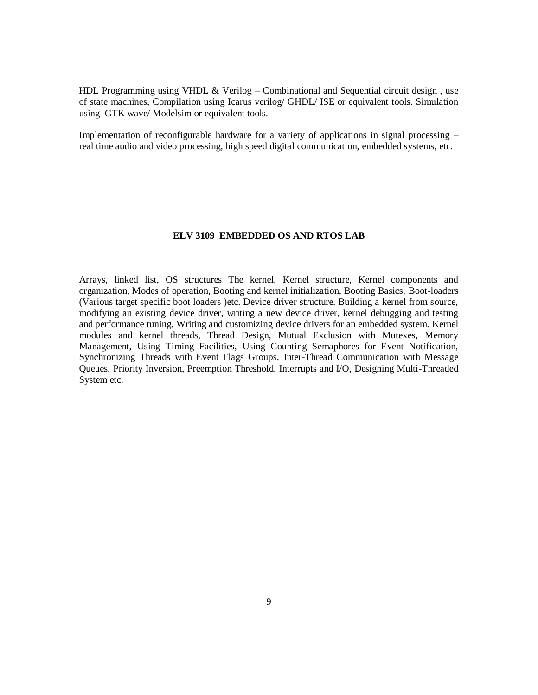HDL Programming using VHDL  $\&$  Verilog – Combinational and Sequential circuit design, use of state machines, Compilation using Icarus verilog/ GHDL/ ISE or equivalent tools. Simulation using GTK wave/ Modelsim or equivalent tools.

Implementation of reconfigurable hardware for a variety of applications in signal processing – real time audio and video processing, high speed digital communication, embedded systems, etc.

#### **ELV 3109 EMBEDDED OS AND RTOS LAB**

Arrays, linked list, OS structures The kernel, Kernel structure, Kernel components and organization, Modes of operation, Booting and kernel initialization, Booting Basics, Boot-loaders (Various target specific boot loaders )etc. Device driver structure. Building a kernel from source, modifying an existing device driver, writing a new device driver, kernel debugging and testing and performance tuning. Writing and customizing device drivers for an embedded system. Kernel modules and kernel threads, Thread Design, Mutual Exclusion with Mutexes, Memory Management, Using Timing Facilities, Using Counting Semaphores for Event Notification, Synchronizing Threads with Event Flags Groups, Inter-Thread Communication with Message Queues, Priority Inversion, Preemption Threshold, Interrupts and I/O, Designing Multi-Threaded System etc.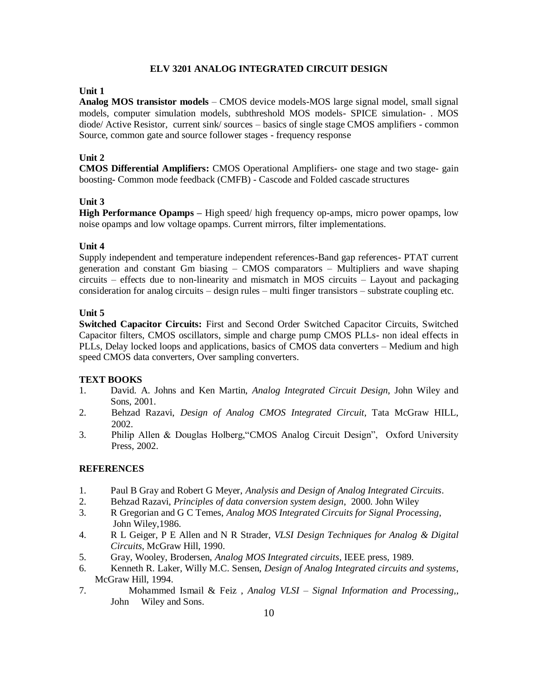### **ELV 3201 ANALOG INTEGRATED CIRCUIT DESIGN**

### **Unit 1**

**Analog MOS transistor models** – CMOS device models-MOS large signal model, small signal models, computer simulation models, subthreshold MOS models- SPICE simulation- . MOS diode/ Active Resistor, current sink/ sources – basics of single stage CMOS amplifiers - common Source, common gate and source follower stages - frequency response

# **Unit 2**

**CMOS Differential Amplifiers:** CMOS Operational Amplifiers**-** one stage and two stage- gain boosting- Common mode feedback (CMFB) - Cascode and Folded cascade structures

# **Unit 3**

**High Performance Opamps** – High speed/ high frequency op-amps, micro power opamps, low noise opamps and low voltage opamps. Current mirrors, filter implementations.

# **Unit 4**

Supply independent and temperature independent references-Band gap references- PTAT current generation and constant Gm biasing – CMOS comparators – Multipliers and wave shaping circuits – effects due to non-linearity and mismatch in MOS circuits – Layout and packaging consideration for analog circuits – design rules – multi finger transistors – substrate coupling etc.

# **Unit 5**

**Switched Capacitor Circuits:** First and Second Order Switched Capacitor Circuits, Switched Capacitor filters, CMOS oscillators, simple and charge pump CMOS PLLs- non ideal effects in PLLs, Delay locked loops and applications, basics of CMOS data converters – Medium and high speed CMOS data converters, Over sampling converters.

# **TEXT BOOKS**

- 1. David. A. Johns and Ken Martin, *Analog Integrated Circuit Design*, John Wiley and Sons, 2001.
- 2. Behzad Razavi, *Design of Analog CMOS Integrated Circuit*, Tata McGraw HILL, 2002.
- 3. Philip Allen & Douglas Holberg,"CMOS Analog Circuit Design", Oxford University Press, 2002.

- 1. Paul B Gray and Robert G Meyer, *Analysis and Design of Analog Integrated Circuits*.
- 2. Behzad Razavi, *Principles of data conversion system design*, 2000. John Wiley
- 3. R Gregorian and G C Temes, *Analog MOS Integrated Circuits for Signal Processing*, John Wiley,1986.
- 4. R L Geiger, P E Allen and N R Strader, *VLSI Design Techniques for Analog & Digital Circuits*, McGraw Hill, 1990.
- 5. Gray, Wooley, Brodersen, *Analog MOS Integrated circuits*, IEEE press, 1989.
- 6. Kenneth R. Laker, Willy M.C. Sensen, *Design of Analog Integrated circuits and systems*, McGraw Hill, 1994.
- 7. Mohammed Ismail & Feiz , *Analog VLSI – Signal Information and Processing,*, John Wiley and Sons.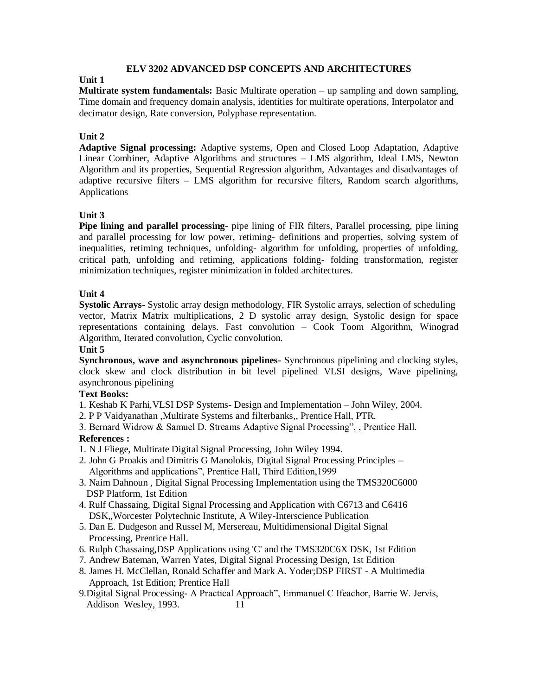# **ELV 3202 ADVANCED DSP CONCEPTS AND ARCHITECTURES**

### **Unit 1**

**Multirate system fundamentals:** Basic Multirate operation – up sampling and down sampling, Time domain and frequency domain analysis, identities for multirate operations, Interpolator and decimator design, Rate conversion, Polyphase representation.

# **Unit 2**

**Adaptive Signal processing:** Adaptive systems, Open and Closed Loop Adaptation, Adaptive Linear Combiner, Adaptive Algorithms and structures – LMS algorithm, Ideal LMS, Newton Algorithm and its properties, Sequential Regression algorithm, Advantages and disadvantages of adaptive recursive filters – LMS algorithm for recursive filters, Random search algorithms, Applications

# **Unit 3**

**Pipe lining and parallel processing**- pipe lining of FIR filters, Parallel processing, pipe lining and parallel processing for low power, retiming- definitions and properties, solving system of inequalities, retiming techniques, unfolding- algorithm for unfolding, properties of unfolding, critical path, unfolding and retiming, applications folding- folding transformation, register minimization techniques, register minimization in folded architectures.

# **Unit 4**

**Systolic Arrays**- Systolic array design methodology, FIR Systolic arrays, selection of scheduling vector, Matrix Matrix multiplications, 2 D systolic array design, Systolic design for space representations containing delays. Fast convolution – Cook Toom Algorithm, Winograd Algorithm, Iterated convolution, Cyclic convolution.

# **Unit 5**

**Synchronous, wave and asynchronous pipelines-** Synchronous pipelining and clocking styles, clock skew and clock distribution in bit level pipelined VLSI designs, Wave pipelining, asynchronous pipelining

# **Text Books:**

- 1. Keshab K Parhi,VLSI DSP Systems- Design and Implementation John Wiley, 2004.
- 2. P P Vaidyanathan ,Multirate Systems and filterbanks,, Prentice Hall, PTR.
- 3. Bernard Widrow & Samuel D. Streams Adaptive Signal Processing", , Prentice Hall. **References :**
- 1. N J Fliege, Multirate Digital Signal Processing, John Wiley 1994.
- 2. John G Proakis and Dimitris G Manolokis, Digital Signal Processing Principles Algorithms and applications", Prentice Hall, Third Edition,1999
- 3. Naim Dahnoun , Digital Signal Processing Implementation using the TMS320C6000 DSP Platform, 1st Edition
- 4. Rulf Chassaing, Digital Signal Processing and Application with C6713 and C6416 DSK,,Worcester Polytechnic Institute, A Wiley-Interscience Publication
- 5. Dan E. Dudgeson and Russel M, Mersereau, Multidimensional Digital Signal Processing, Prentice Hall.
- 6. Rulph Chassaing,DSP Applications using 'C' and the TMS320C6X DSK, 1st Edition
- 7. Andrew Bateman, Warren Yates, Digital Signal Processing Design, 1st Edition
- 8. James H. McClellan, Ronald Schaffer and Mark A. Yoder;DSP FIRST A Multimedia Approach, 1st Edition; Prentice Hall
- 9.Digital Signal Processing- A Practical Approach", Emmanuel C Ifeachor, Barrie W. Jervis, Addison Wesley, 1993. 11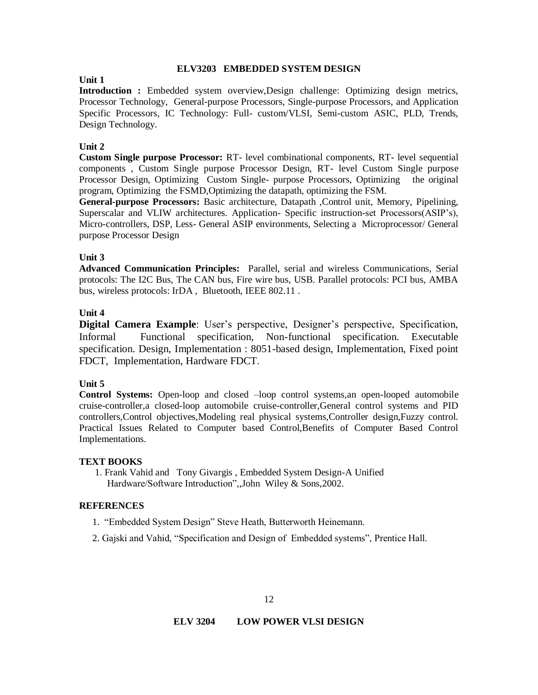### **ELV3203 EMBEDDED SYSTEM DESIGN**

# **Unit 1**

**Introduction :** Embedded system overview,Design challenge: Optimizing design metrics, Processor Technology, General-purpose Processors, Single-purpose Processors, and Application Specific Processors, IC Technology: Full- custom/VLSI, Semi-custom ASIC, PLD, Trends, Design Technology.

# **Unit 2**

**Custom Single purpose Processor:** RT- level combinational components, RT- level sequential components , Custom Single purpose Processor Design, RT- level Custom Single purpose Processor Design, Optimizing Custom Single- purpose Processors, Optimizing the original program, Optimizing the FSMD,Optimizing the datapath, optimizing the FSM.

**General-purpose Processors:** Basic architecture, Datapath ,Control unit, Memory, Pipelining, Superscalar and VLIW architectures. Application- Specific instruction-set Processors(ASIP's), Micro-controllers, DSP, Less- General ASIP environments, Selecting a Microprocessor/ General purpose Processor Design

# **Unit 3**

**Advanced Communication Principles:** Parallel, serial and wireless Communications, Serial protocols: The I2C Bus, The CAN bus, Fire wire bus, USB. Parallel protocols: PCI bus, AMBA bus, wireless protocols: IrDA , Bluetooth, IEEE 802.11 .

# **Unit 4**

**Digital Camera Example**: User's perspective, Designer's perspective, Specification, Informal Functional specification, Non-functional specification. Executable specification. Design, Implementation : 8051-based design, Implementation, Fixed point FDCT, Implementation, Hardware FDCT.

# **Unit 5**

**Control Systems:** Open-loop and closed –loop control systems,an open-looped automobile cruise-controller,a closed-loop automobile cruise-controller,General control systems and PID controllers,Control objectives,Modeling real physical systems,Controller design,Fuzzy control. Practical Issues Related to Computer based Control,Benefits of Computer Based Control Implementations.

# **TEXT BOOKS**

1. Frank Vahid and Tony Givargis , Embedded System Design-A Unified Hardware/Software Introduction",,John Wiley & Sons,2002.

# **REFERENCES**

- 1. "Embedded System Design" Steve Heath, Butterworth Heinemann.
- 2. Gajski and Vahid, "Specification and Design of Embedded systems", Prentice Hall.

# **ELV 3204 LOW POWER VLSI DESIGN**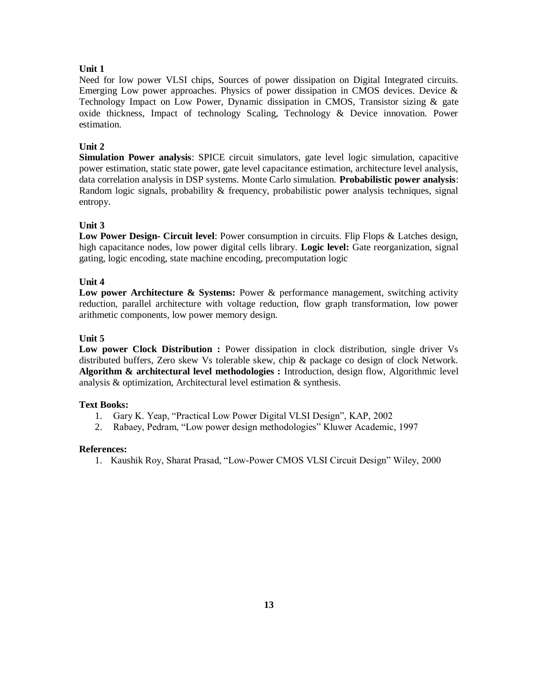# **Unit 1**

Need for low power VLSI chips, Sources of power dissipation on Digital Integrated circuits. Emerging Low power approaches. Physics of power dissipation in CMOS devices. Device & Technology Impact on Low Power, Dynamic dissipation in CMOS, Transistor sizing & gate oxide thickness, Impact of technology Scaling, Technology & Device innovation. Power estimation.

### **Unit 2**

**Simulation Power analysis**: SPICE circuit simulators, gate level logic simulation, capacitive power estimation, static state power, gate level capacitance estimation, architecture level analysis, data correlation analysis in DSP systems. Monte Carlo simulation. **Probabilistic power analysis**: Random logic signals, probability & frequency, probabilistic power analysis techniques, signal entropy.

### **Unit 3**

**Low Power Design- Circuit level**: Power consumption in circuits. Flip Flops & Latches design, high capacitance nodes, low power digital cells library. **Logic level:** Gate reorganization, signal gating, logic encoding, state machine encoding, precomputation logic

#### **Unit 4**

**Low power Architecture & Systems:** Power & performance management, switching activity reduction, parallel architecture with voltage reduction, flow graph transformation, low power arithmetic components, low power memory design.

#### **Unit 5**

**Low power Clock Distribution :** Power dissipation in clock distribution, single driver Vs distributed buffers, Zero skew Vs tolerable skew, chip & package co design of clock Network. **Algorithm & architectural level methodologies :** Introduction, design flow, Algorithmic level analysis & optimization, Architectural level estimation & synthesis.

#### **Text Books:**

- 1. Gary K. Yeap, "Practical Low Power Digital VLSI Design", KAP, 2002
- 2. Rabaey, Pedram, "Low power design methodologies" Kluwer Academic, 1997

#### **References:**

1. Kaushik Roy, Sharat Prasad, "Low-Power CMOS VLSI Circuit Design" Wiley, 2000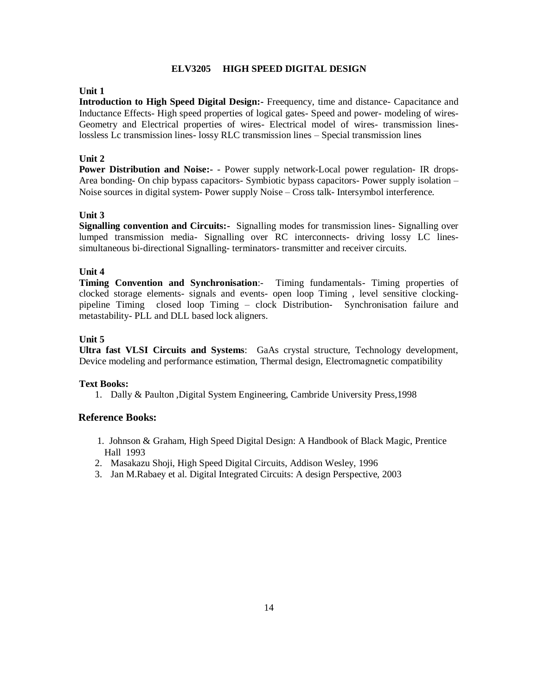#### **ELV3205 HIGH SPEED DIGITAL DESIGN**

### **Unit 1**

**Introduction to High Speed Digital Design:-** Freequency, time and distance- Capacitance and Inductance Effects- High speed properties of logical gates- Speed and power- modeling of wires-Geometry and Electrical properties of wires- Electrical model of wires- transmission lineslossless Lc transmission lines- lossy RLC transmission lines – Special transmission lines

#### **Unit 2**

**Power Distribution and Noise:-** - Power supply network-Local power regulation- IR drops-Area bonding- On chip bypass capacitors- Symbiotic bypass capacitors- Power supply isolation – Noise sources in digital system- Power supply Noise – Cross talk- Intersymbol interference.

#### **Unit 3**

**Signalling convention and Circuits:-** Signalling modes for transmission lines- Signalling over lumped transmission media- Signalling over RC interconnects- driving lossy LC linessimultaneous bi-directional Signalling- terminators- transmitter and receiver circuits.

### **Unit 4**

**Timing Convention and Synchronisation**:- Timing fundamentals- Timing properties of clocked storage elements- signals and events- open loop Timing , level sensitive clockingpipeline Timing closed loop Timing – clock Distribution- Synchronisation failure and metastability- PLL and DLL based lock aligners.

### **Unit 5**

**Ultra fast VLSI Circuits and Systems**: GaAs crystal structure, Technology development, Device modeling and performance estimation, Thermal design, Electromagnetic compatibility

#### **Text Books:**

1. Dally & Paulton ,Digital System Engineering, Cambride University Press,1998

### **Reference Books:**

- 1. Johnson & Graham, High Speed Digital Design: A Handbook of Black Magic, Prentice Hall 1993
- 2. Masakazu Shoji, High Speed Digital Circuits, Addison Wesley, 1996
- 3. Jan M.Rabaey et al. Digital Integrated Circuits: A design Perspective, 2003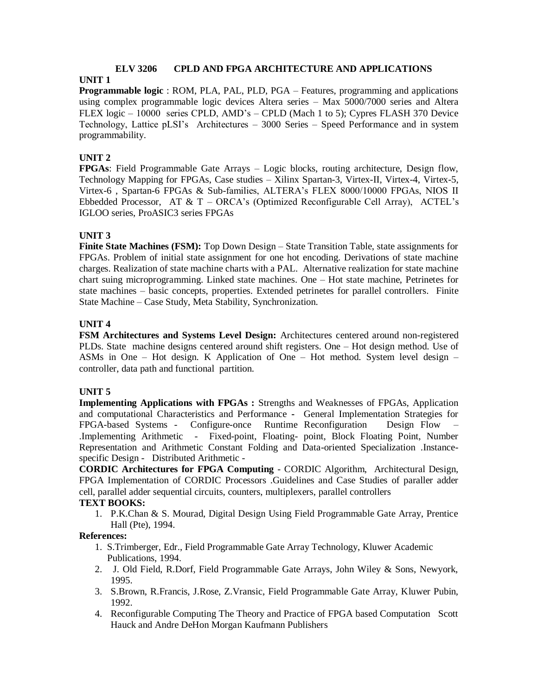# **ELV 3206 CPLD AND FPGA ARCHITECTURE AND APPLICATIONS**

# **UNIT 1**

**Programmable logic** : ROM, PLA, PAL, PLD, PGA – Features, programming and applications using complex programmable logic devices Altera series – Max 5000/7000 series and Altera FLEX logic – 10000 series CPLD, AMD's – CPLD (Mach 1 to 5); Cypres FLASH 370 Device Technology, Lattice pLSI's Architectures – 3000 Series – Speed Performance and in system programmability.

# **UNIT 2**

**FPGAs**: Field Programmable Gate Arrays – Logic blocks, routing architecture, Design flow, Technology Mapping for FPGAs, Case studies – Xilinx Spartan-3, Virtex-II, Virtex-4, Virtex-5, Virtex-6 , Spartan-6 FPGAs & Sub-families, ALTERA's FLEX 8000/10000 FPGAs, NIOS II Ebbedded Processor, AT  $& T - ORCA's$  (Optimized Reconfigurable Cell Array), ACTEL's IGLOO series, ProASIC3 series FPGAs

# **UNIT 3**

**Finite State Machines (FSM):** Top Down Design – State Transition Table, state assignments for FPGAs. Problem of initial state assignment for one hot encoding. Derivations of state machine charges. Realization of state machine charts with a PAL. Alternative realization for state machine chart suing microprogramming. Linked state machines. One – Hot state machine, Petrinetes for state machines – basic concepts, properties. Extended petrinetes for parallel controllers. Finite State Machine – Case Study, Meta Stability, Synchronization.

# **UNIT 4**

**FSM Architectures and Systems Level Design:** Architectures centered around non-registered PLDs. State machine designs centered around shift registers. One – Hot design method. Use of ASMs in One – Hot design. K Application of One – Hot method. System level design – controller, data path and functional partition.

# **UNIT 5**

**Implementing Applications with FPGAs :** Strengths and Weaknesses of FPGAs, Application and computational Characteristics and Performance **-** General Implementation Strategies for FPGA-based Systems - Configure-once Runtime Reconfiguration Design Flow – .Implementing Arithmetic - Fixed-point, Floating- point, Block Floating Point, Number Representation and Arithmetic Constant Folding and Data-oriented Specialization .Instancespecific Design - Distributed Arithmetic -

**CORDIC Architectures for FPGA Computing** - CORDIC Algorithm, Architectural Design, FPGA Implementation of CORDIC Processors .Guidelines and Case Studies of paraller adder cell, parallel adder sequential circuits, counters, multiplexers, parallel controllers

# **TEXT BOOKS:**

1. P.K.Chan & S. Mourad, Digital Design Using Field Programmable Gate Array, Prentice Hall (Pte), 1994.

# **References:**

- 1. S.Trimberger, Edr., Field Programmable Gate Array Technology, Kluwer Academic Publications, 1994.
- 2. J. Old Field, R.Dorf, Field Programmable Gate Arrays, John Wiley & Sons, Newyork, 1995.
- 3. S.Brown, R.Francis, J.Rose, Z.Vransic, Field Programmable Gate Array, Kluwer Pubin, 1992.
- 4. Reconfigurable Computing The Theory and Practice of FPGA based Computation Scott Hauck and Andre DeHon Morgan Kaufmann Publishers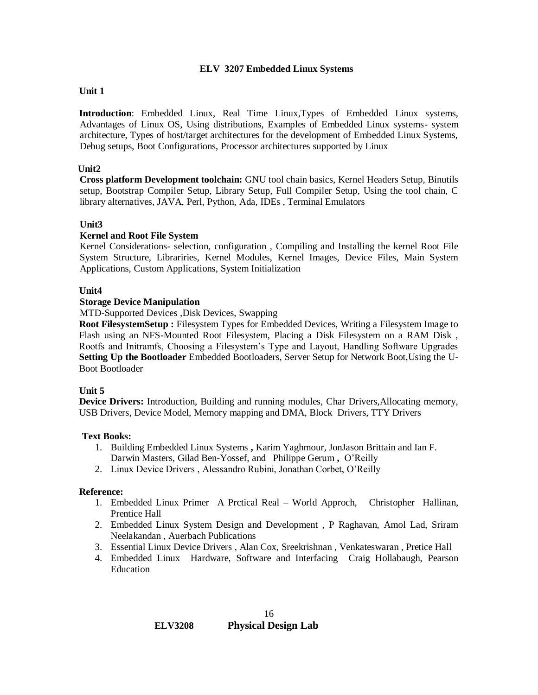### **ELV 3207 Embedded Linux Systems**

# **Unit 1**

**Introduction**: Embedded Linux, Real Time Linux,Types of Embedded Linux systems, Advantages of Linux OS, Using distributions, Examples of Embedded Linux systems- system architecture, Types of host/target architectures for the development of Embedded Linux Systems, Debug setups, Boot Configurations, Processor architectures supported by Linux

# **Unit2**

**Cross platform Development toolchain:** GNU tool chain basics, Kernel Headers Setup, Binutils setup, Bootstrap Compiler Setup, Library Setup, Full Compiler Setup, Using the tool chain, C library alternatives, JAVA, Perl, Python, Ada, IDEs , Terminal Emulators

# **Unit3**

# **Kernel and Root File System**

Kernel Considerations- selection, configuration , Compiling and Installing the kernel Root File System Structure, Librariries, Kernel Modules, Kernel Images, Device Files, Main System Applications, Custom Applications, System Initialization

# **Unit4**

# **Storage Device Manipulation**

MTD-Supported Devices ,Disk Devices, Swapping

**Root FilesystemSetup :** Filesystem Types for Embedded Devices, Writing a Filesystem Image to Flash using an NFS-Mounted Root Filesystem, Placing a Disk Filesystem on a RAM Disk , Rootfs and Initramfs, Choosing a Filesystem's Type and Layout, Handling Software Upgrades **Setting Up the Bootloader** Embedded Bootloaders, Server Setup for Network Boot,Using the U-Boot Bootloader

# **Unit 5**

**Device Drivers:** Introduction, Building and running modules, Char Drivers,Allocating memory, USB Drivers, Device Model, Memory mapping and DMA, Block Drivers, TTY Drivers

# **Text Books:**

- 1. Building Embedded Linux Systems **,** Karim Yaghmour, JonJason Brittain and Ian F. Darwin Masters, Gilad Ben-Yossef, and Philippe Gerum **,** O'Reilly
- 2. Linux Device Drivers , Alessandro Rubini, Jonathan Corbet, O'Reilly

# **Reference:**

- 1. Embedded Linux Primer A Prctical Real World Approch, Christopher Hallinan, Prentice Hall
- 2. Embedded Linux System Design and Development , P Raghavan, Amol Lad, Sriram Neelakandan , Auerbach Publications
- 3. Essential Linux Device Drivers , Alan Cox, Sreekrishnan , Venkateswaran , Pretice Hall
- 4. Embedded Linux Hardware, Software and Interfacing Craig Hollabaugh, Pearson Education